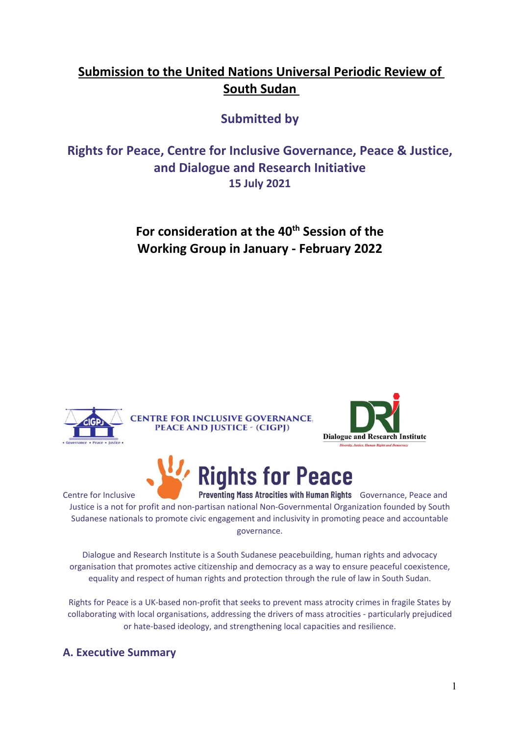# **Submission to the United Nations Universal Periodic Review of South Sudan**

## **Submitted by**

**Rights for Peace, Centre for Inclusive Governance, Peace & Justice, and Dialogue and Research Initiative 15 July 2021**

> **For consideration at the 40th Session of the Working Group in January - February 2022**



Centre for Inclusive **Canadian Preventing Mass Atrocities with Human Rights** Governance, Peace and Justice is <sup>a</sup> not for profit and non-partisan national Non-Governmental Organization founded by South Sudanese nationals to promote civic engagement and inclusivity in promoting peace and accountable governance.

Dialogue and Research Institute is <sup>a</sup> South Sudanese peacebuilding, human rights and advocacy organisation that promotes active citizenship and democracy as <sup>a</sup> way to ensure peaceful coexistence, equality and respect of human rights and protection through the rule of law in South Sudan.

Rights for Peace is <sup>a</sup> UK-based non-profit that seeks to prevent mass atrocity crimes in fragile States by collaborating with local organisations, addressing the drivers of mass atrocities - particularly prejudiced or hate-based ideology, and strengthening local capacities and resilience.

## **A. Executive Summary**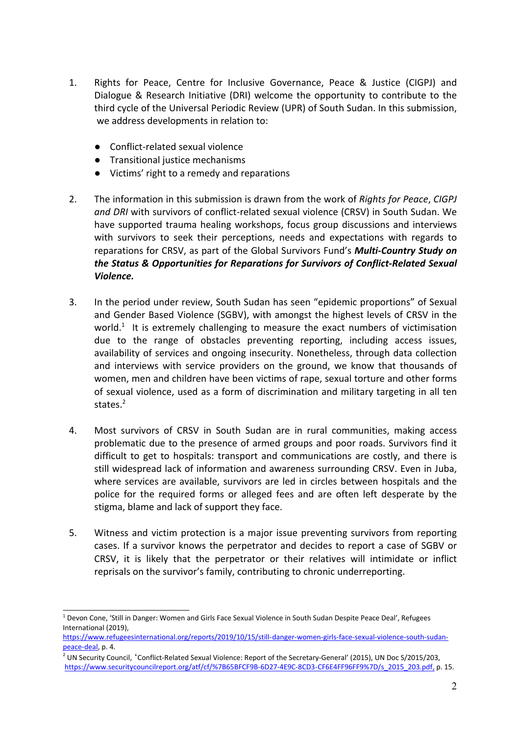- 1. Rights for Peace, Centre for Inclusive Governance, Peace & Justice (CIGPJ) and Dialogue & Research Initiative (DRI) welcome the opportunity to contribute to the third cycle of the Universal Periodic Review (UPR) of South Sudan. In this submission, we address developments in relation to:
	- Conflict-related sexual violence
	- Transitional justice mechanisms
	- Victims' right to a remedy and reparations
- 2. The information in this submission is drawn from the work of *Rights for Peace*, *CIGPJ and DRI* with survivors of conflict-related sexual violence (CRSV) in South Sudan. We have supported trauma healing workshops, focus group discussions and interviews with survivors to seek their perceptions, needs and expectations with regards to reparations for CRSV, as part of the Global Survivors Fund'<sup>s</sup> *Multi-Country Study on the Status & Opportunities for Reparations for Survivors of Conflict-Related Sexual Violence.*
- 3. In the period under review, South Sudan has seen "epidemic proportions" of Sexual and Gender Based Violence (SGBV), with amongst the highest levels of CRSV in the world.<sup>1</sup> It is extremely challenging to measure the exact numbers of victimisation due to the range of obstacles preventing reporting, including access issues, availability of services and ongoing insecurity. Nonetheless, through data collection and interviews with service providers on the ground, we know that thousands of women, men and children have been victims of rape, sexual torture and other forms of sexual violence, used as <sup>a</sup> form of discrimination and military targeting in all ten states.<sup>2</sup>
- 4. Most survivors of CRSV in South Sudan are in rural communities, making access problematic due to the presence of armed groups and poor roads. Survivors find it difficult to get to hospitals: transport and communications are costly, and there is still widespread lack of information and awareness surrounding CRSV. Even in Juba, where services are available, survivors are led in circles between hospitals and the police for the required forms or alleged fees and are often left desperate by the stigma, blame and lack of support they face.
- 5. Witness and victim protection is <sup>a</sup> major issue preventing survivors from reporting cases. If <sup>a</sup> survivor knows the perpetrator and decides to report <sup>a</sup> case of SGBV or CRSV, it is likely that the perpetrator or their relatives will intimidate or inflict reprisals on the survivor'<sup>s</sup> family, contributing to chronic underreporting.

<sup>1</sup> Devon Cone, 'Still in Danger: Women and Girls Face Sexual Violence in South Sudan Despite Peace Deal', Refugees International (2019),

[https://www.refugeesinternational.org/reports/2019/10/15/still-danger-women-girls-face-sexual-violence-south-sudan](https://www.refugeesinternational.org/reports/2019/10/15/still-danger-women-girls-face-sexual-violence-south-sudan-peace-deal)[peace-deal](https://www.refugeesinternational.org/reports/2019/10/15/still-danger-women-girls-face-sexual-violence-south-sudan-peace-deal), p. 4.

<sup>&</sup>lt;sup>2</sup> UN Security Council, 'Conflict-Related Sexual Violence: Report of the Secretary-General' (2015), UN Doc S/2015/203, [https://www.securitycouncilreport.org/atf/cf/%7B65BFCF9B-6D27-4E9C-8CD3-CF6E4FF96FF9%7D/s\\_2015\\_203.pdf](https://www.securitycouncilreport.org/atf/cf/%7B65BFCF9B-6D27-4E9C-8CD3-CF6E4FF96FF9%7D/s_2015_203.pdf), p. 15.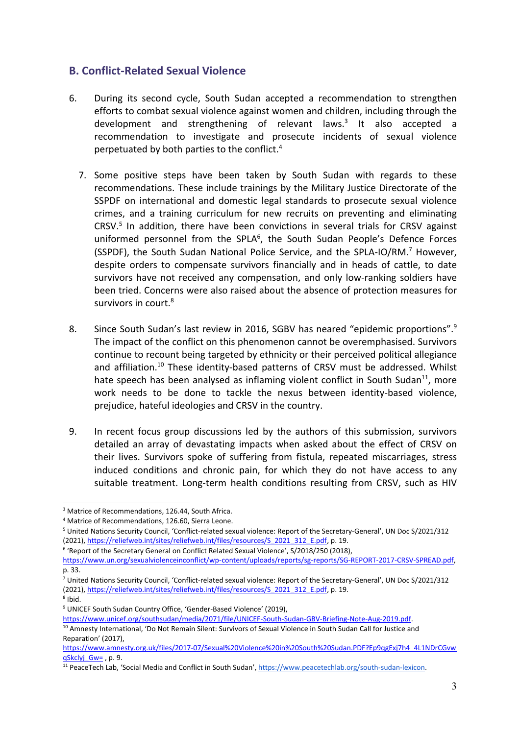#### **B. Conflict-Related Sexual Violence**

- 6. During its second cycle, South Sudan accepted <sup>a</sup> recommendation to strengthen efforts to combat sexual violence against women and children, including through the development and strengthening of relevant laws.<sup>3</sup> It also accepted a recommendation to investigate and prosecute incidents of sexual violence perpetuated by both parties to the conflict. 4
	- 7. Some positive steps have been taken by South Sudan with regards to these recommendations. These include trainings by the Military Justice Directorate of the SSPDF on international and domestic legal standards to prosecute sexual violence crimes, and <sup>a</sup> training curriculum for new recruits on preventing and eliminating CRSV. 5 In addition, there have been convictions in several trials for CRSV against uniformed personnel from the SPLA<sup>6</sup>, the South Sudan People's Defence Forces (SSPDF), the South Sudan National Police Service, and the SPLA-IO/RM.<sup>7</sup> However, despite orders to compensate survivors financially and in heads of cattle, to date survivors have not received any compensation, and only low-ranking soldiers have been tried. Concerns were also raised about the absence of protection measures for survivors in court. $^{\mathrm{8}}$
- 8. Since South Sudan's last review in 2016, SGBV has neared "epidemic proportions".<sup>9</sup> The impact of the conflict on this phenomenon cannot be overemphasised. Survivors continue to recount being targeted by ethnicity or their perceived political allegiance and affiliation.<sup>10</sup> These identity-based patterns of CRSV must be addressed. Whilst hate speech has been analysed as inflaming violent conflict in South Sudan<sup>11</sup>, more work needs to be done to tackle the nexus between identity-based violence, prejudice, hateful ideologies and CRSV in the country.
- 9. In recent focus group discussions led by the authors of this submission, survivors detailed an array of devastating impacts when asked about the effect of CRSV on their lives. Survivors spoke of suffering from fistula, repeated miscarriages, stress induced conditions and chronic pain, for which they do not have access to any suitable treatment. Long-term health conditions resulting from CRSV, such as HIV

<sup>&</sup>lt;sup>3</sup> Matrice of Recommendations, 126.44, South Africa.

<sup>4</sup> Matrice of Recommendations, 126.60, Sierra Leone.

<sup>5</sup> United Nations Security Council, 'Conflict-related sexual violence: Report of the Secretary-General', UN Doc S/2021/312 (2021), [https://reliefweb.int/sites/reliefweb.int/files/resources/S\\_2021\\_312\\_E.pdf,](https://reliefweb.int/sites/reliefweb.int/files/resources/S_2021_312_E.pdf) p. 19.

<sup>&</sup>lt;sup>6</sup> 'Report of the Secretary General on Conflict Related Sexual Violence', S/2018/250 (2018),

[https://www.un.org/sexualviolenceinconflict/wp-content/uploads/reports/sg-reports/SG-REPORT-2017-CRSV-SPREAD.pdf,](https://www.un.org/sexualviolenceinconflict/wp-content/uploads/reports/sg-reports/SG-REPORT-2017-CRSV-SPREAD.pdf) p. 33.

<sup>7</sup> United Nations Security Council, 'Conflict-related sexual violence: Report of the Secretary-General', UN Doc S/2021/312 (2021), [https://reliefweb.int/sites/reliefweb.int/files/resources/S\\_2021\\_312\\_E.pdf,](https://reliefweb.int/sites/reliefweb.int/files/resources/S_2021_312_E.pdf) p. 19. 8 Ibid.

<sup>&</sup>lt;sup>9</sup> UNICEF South Sudan Country Office, 'Gender-Based Violence' (2019),

<https://www.unicef.org/southsudan/media/2071/file/UNICEF-South-Sudan-GBV-Briefing-Note-Aug-2019.pdf>.

<sup>&</sup>lt;sup>10</sup> Amnesty International, 'Do Not Remain Silent: Survivors of Sexual Violence in South Sudan Call for Justice and Reparation' (2017),

[https://www.amnesty.org.uk/files/2017-07/Sexual%20Violence%20in%20South%20Sudan.PDF?Ep9qgExj7h4\\_4L1NDrCGvw](https://www.amnesty.org.uk/files/2017-07/Sexual%20Violence%20in%20South%20Sudan.PDF?Ep9qgExj7h4_4L1NDrCGvwqSkclyj_Gw=) [qSkclyj\\_Gw=](https://www.amnesty.org.uk/files/2017-07/Sexual%20Violence%20in%20South%20Sudan.PDF?Ep9qgExj7h4_4L1NDrCGvwqSkclyj_Gw=) , p. 9.

<sup>&</sup>lt;sup>11</sup> PeaceTech Lab, 'Social Media and Conflict in South Sudan', <https://www.peacetechlab.org/south-sudan-lexicon>.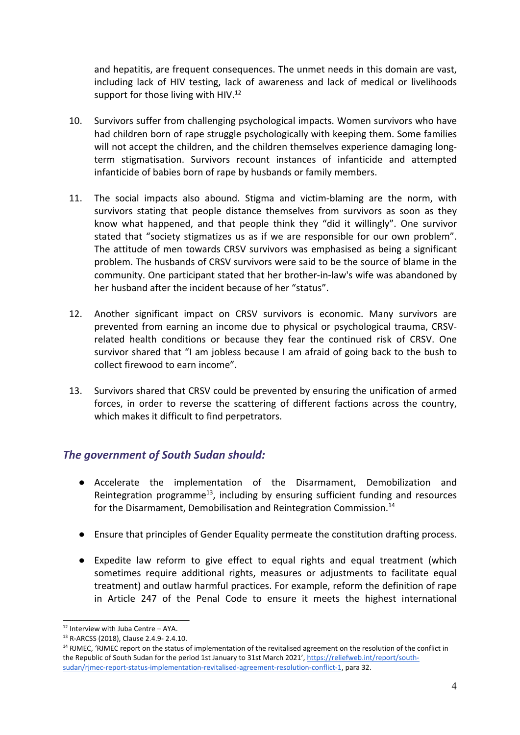and hepatitis, are frequent consequences. The unmet needs in this domain are vast, including lack of HIV testing, lack of awareness and lack of medical or livelihoods support for those living with HIV. $^{12}$ 

- 10. Survivors suffer from challenging psychological impacts. Women survivors who have had children born of rape struggle psychologically with keeping them. Some families will not accept the children, and the children themselves experience damaging longterm stigmatisation. Survivors recount instances of infanticide and attempted infanticide of babies born of rape by husbands or family members.
- 11. The social impacts also abound. Stigma and victim-blaming are the norm, with survivors stating that people distance themselves from survivors as soon as they know what happened, and that people think they "did it willingly". One survivor stated that "society stigmatizes us as if we are responsible for our own problem". The attitude of men towards CRSV survivors was emphasised as being <sup>a</sup> significant problem. The husbands of CRSV survivors were said to be the source of blame in the community. One participant stated that her brother-in-law's wife was abandoned by her husband after the incident because of her "status".
- 12. Another significant impact on CRSV survivors is economic. Many survivors are prevented from earning an income due to physical or psychological trauma, CRSVrelated health conditions or because they fear the continued risk of CRSV. One survivor shared that "I am jobless because I am afraid of going back to the bush to collect firewood to earn income".
- 13. Survivors shared that CRSV could be prevented by ensuring the unification of armed forces, in order to reverse the scattering of different factions across the country, which makes it difficult to find perpetrators.

#### *The government of South Sudan should:*

- Accelerate the implementation of the Disarmament, Demobilization and Reintegration programme<sup>13</sup>, including by ensuring sufficient funding and resources for the Disarmament, Demobilisation and Reintegration Commission.<sup>14</sup>
- **●** Ensure that principles of Gender Equality permeate the constitution drafting process.
- **●** Expedite law reform to give effect to equal rights and equal treatment (which sometimes require additional rights, measures or adjustments to facilitate equal treatment) and outlaw harmful practices. For example, reform the definition of rape in Article 247 of the Penal Code to ensure it meets the highest international

<sup>&</sup>lt;sup>12</sup> Interview with Juba Centre – AYA.

<sup>&</sup>lt;sup>13</sup> R-ARCSS (2018), Clause 2.4.9- 2.4.10.

<sup>&</sup>lt;sup>14</sup> RJMEC, 'RJMEC report on the status of implementation of the revitalised agreement on the resolution of the conflict in the Republic of South Sudan for the period 1st January to 31st March 2021', [https://reliefweb.int/report/south](https://reliefweb.int/report/south-sudan/rjmec-report-status-implementation-revitalised-agreement-resolution-conflict-1)[sudan/rjmec-report-status-implementation-revitalised-agreement-resolution-conflict-1](https://reliefweb.int/report/south-sudan/rjmec-report-status-implementation-revitalised-agreement-resolution-conflict-1), para 32.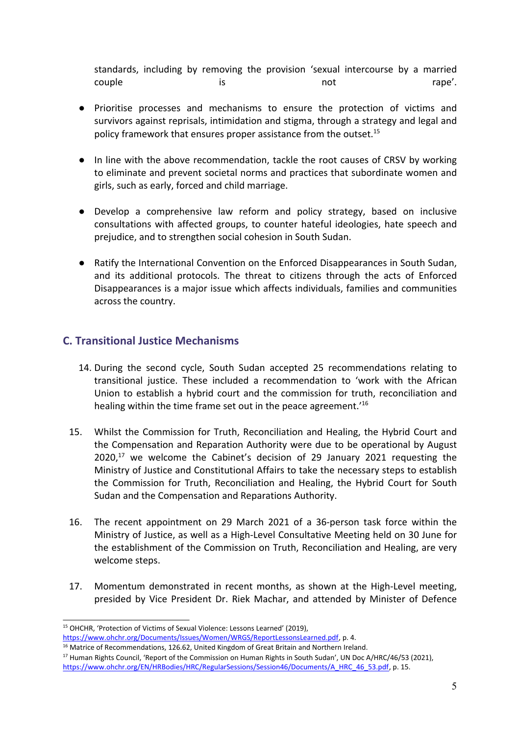standards, including by removing the provision 'sexual intercourse by <sup>a</sup> married couple is not rape'.

- **●** Prioritise processes and mechanisms to ensure the protection of victims and survivors against reprisals, intimidation and stigma, through <sup>a</sup> strategy and legal and policy framework that ensures proper assistance from the outset.<sup>15</sup>
- In line with the above recommendation, tackle the root causes of CRSV by working to eliminate and prevent societal norms and practices that subordinate women and girls, such as early, forced and child marriage.
	- $\bullet$  Develop <sup>a</sup> comprehensive law reform and policy strategy, based on inclusive consultations with affected groups, to counter hateful ideologies, hate speech and prejudice, and to strengthen social cohesion in South Sudan.
- Ratify the International Convention on the Enforced Disappearances in South Sudan, and its additional protocols. The threat to citizens through the acts of Enforced Disappearances is <sup>a</sup> major issue which affects individuals, families and communities across the country.

#### **C. Transitional Justice Mechanisms**

- 14. During the second cycle, South Sudan accepted 25 recommendations relating to transitional justice. These included <sup>a</sup> recommendation to 'work with the African Union to establish <sup>a</sup> hybrid court and the commission for truth, reconciliation and healing within the time frame set out in the peace agreement.'<sup>16</sup>
- 15. Whilst the Commission for Truth, Reconciliation and Healing, the Hybrid Court and the Compensation and Reparation Authority were due to be operational by August 2020,<sup>17</sup> we welcome the Cabinet's decision of 29 January 2021 requesting the Ministry of Justice and Constitutional Affairs to take the necessary steps to establish the Commission for Truth, Reconciliation and Healing, the Hybrid Court for South Sudan and the Compensation and Reparations Authority.
- 16. The recent appointment on 29 March 2021 of <sup>a</sup> 36-person task force within the Ministry of Justice, as well as <sup>a</sup> High-Level Consultative Meeting held on 30 June for the establishment of the Commission on Truth, Reconciliation and Healing, are very welcome steps.
- 17. Momentum demonstrated in recent months, as shown at the High-Level meeting, presided by Vice President Dr. Riek Machar, and attended by Minister of Defence

<sup>&</sup>lt;sup>15</sup> OHCHR, 'Protection of Victims of Sexual Violence: Lessons Learned' (2019),

<https://www.ohchr.org/Documents/Issues/Women/WRGS/ReportLessonsLearned.pdf>, p. 4.

<sup>&</sup>lt;sup>16</sup> Matrice of Recommendations, 126.62, United Kingdom of Great Britain and Northern Ireland.

<sup>&</sup>lt;sup>17</sup> Human Rights Council, 'Report of the Commission on Human Rights in South Sudan', UN Doc A/HRC/46/53 (2021), [https://www.ohchr.org/EN/HRBodies/HRC/RegularSessions/Session46/Documents/A\\_HRC\\_46\\_53.pdf,](https://www.ohchr.org/EN/HRBodies/HRC/RegularSessions/Session46/Documents/A_HRC_46_53.pdf) p. 15.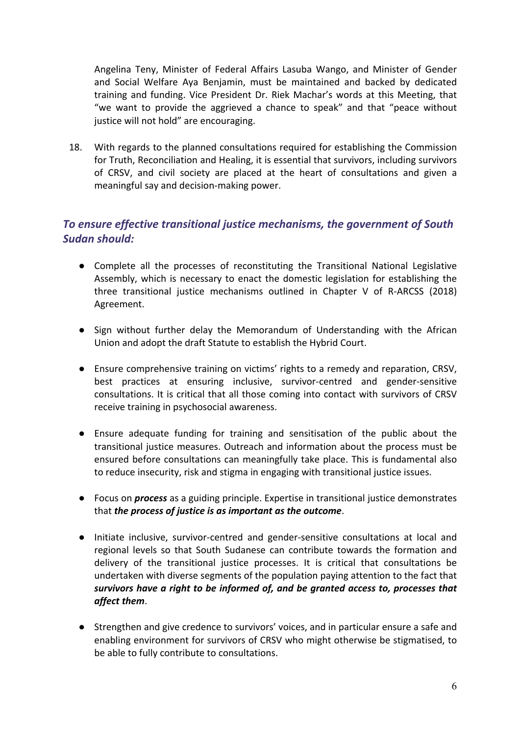Angelina Teny, Minister of Federal Affairs Lasuba Wango, and Minister of Gender and Social Welfare Aya Benjamin, must be maintained and backed by dedicated training and funding. Vice President Dr. Riek Machar'<sup>s</sup> words at this Meeting, that "we want to provide the aggrieved <sup>a</sup> chance to speak" and that "peace without justice will not hold" are encouraging.

18. With regards to the planned consultations required for establishing the Commission for Truth, Reconciliation and Healing, it is essential that survivors, including survivors of CRSV, and civil society are placed at the heart of consultations and given <sup>a</sup> meaningful say and decision-making power.

## *To ensure effective transitional justice mechanisms, the government of South Sudan should:*

- Complete all the processes of reconstituting the Transitional National Legislative Assembly, which is necessary to enact the domestic legislation for establishing the three transitional justice mechanisms outlined in Chapter V of R-ARCSS (2018) Agreement.
- Sign without further delay the Memorandum of Understanding with the African Union and adopt the draft Statute to establish the Hybrid Court.
- Ensure comprehensive training on victims' rights to <sup>a</sup> remedy and reparation, CRSV, best practices at ensuring inclusive, survivor-centred and gender-sensitive consultations. It is critical that all those coming into contact with survivors of CRSV receive training in psychosocial awareness.
- Ensure adequate funding for training and sensitisation of the public about the transitional justice measures. Outreach and information about the process must be ensured before consultations can meaningfully take place. This is fundamental also to reduce insecurity, risk and stigma in engaging with transitional justice issues.
- Focus on *process* as <sup>a</sup> guiding principle. Expertise in transitional justice demonstrates that *the process of justice is as important as the outcome*.
- Initiate inclusive, survivor-centred and gender-sensitive consultations at local and regional levels so that South Sudanese can contribute towards the formation and delivery of the transitional justice processes. It is critical that consultations be undertaken with diverse segments of the population paying attention to the fact that *survivors have <sup>a</sup> right to be informed of, and be granted access to, processes that affect them*.
- Strengthen and give credence to survivors' voices, and in particular ensure a safe and enabling environment for survivors of CRSV who might otherwise be stigmatised, to be able to fully contribute to consultations.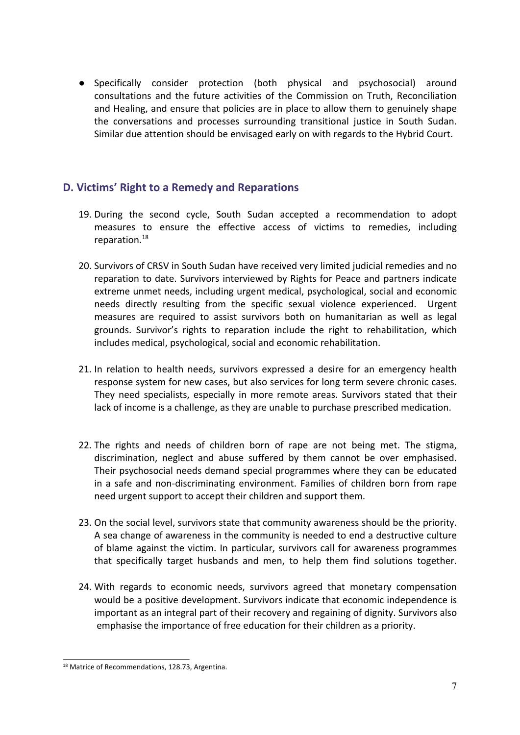● Specifically consider protection (both physical and psychosocial) around consultations and the future activities of the Commission on Truth, Reconciliation and Healing, and ensure that policies are in place to allow them to genuinely shape the conversations and processes surrounding transitional justice in South Sudan. Similar due attention should be envisaged early on with regards to the Hybrid Court.

## **D. Victims' Right to <sup>a</sup> Remedy and Reparations**

- 19. During the second cycle, South Sudan accepted <sup>a</sup> recommendation to adopt measures to ensure the effective access of victims to remedies, including reparation. 18
- 20. Survivors of CRSV in South Sudan have received very limited judicial remedies and no reparation to date. Survivors interviewed by Rights for Peace and partners indicate extreme unmet needs, including urgent medical, psychological, social and economic needs directly resulting from the specific sexual violence experienced. Urgent measures are required to assist survivors both on humanitarian as well as legal grounds. Survivor'<sup>s</sup> rights to reparation include the right to rehabilitation, which includes medical, psychological, social and economic rehabilitation.
- 21. In relation to health needs, survivors expressed <sup>a</sup> desire for an emergency health response system for new cases, but also services for long term severe chronic cases. They need specialists, especially in more remote areas. Survivors stated that their lack of income is <sup>a</sup> challenge, as they are unable to purchase prescribed medication.
- 22. The rights and needs of children born of rape are not being met. The stigma, discrimination, neglect and abuse suffered by them cannot be over emphasised. Their psychosocial needs demand special programmes where they can be educated in <sup>a</sup> safe and non-discriminating environment. Families of children born from rape need urgent support to accept their children and support them.
- 23. On the social level, survivors state that community awareness should be the priority. A sea change of awareness in the community is needed to end <sup>a</sup> destructive culture of blame against the victim. In particular, survivors call for awareness programmes that specifically target husbands and men, to help them find solutions together.
- 24. With regards to economic needs, survivors agreed that monetary compensation would be <sup>a</sup> positive development. Survivors indicate that economic independence is important as an integral part of their recovery and regaining of dignity. Survivors also emphasise the importance of free education for their children as <sup>a</sup> priority.

<sup>18</sup> Matrice of Recommendations, 128.73, Argentina.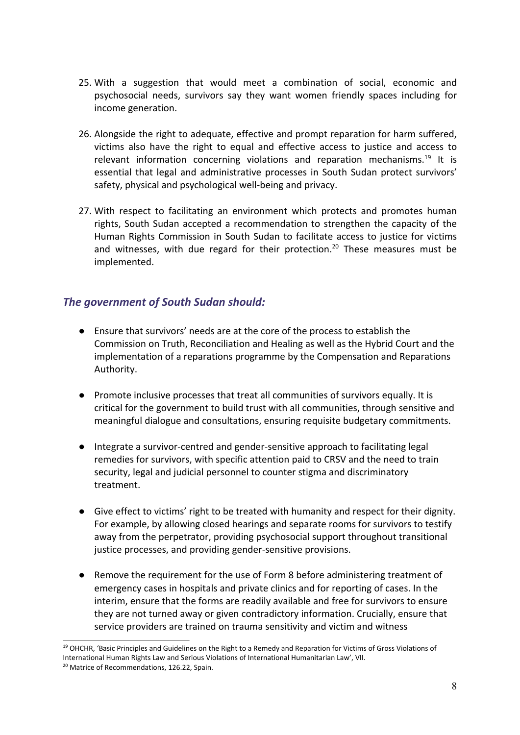- 25. With <sup>a</sup> suggestion that would meet <sup>a</sup> combination of social, economic and psychosocial needs, survivors say they want women friendly spaces including for income generation.
- 26. Alongside the right to adequate, effective and prompt reparation for harm suffered, victims also have the right to equal and effective access to justice and access to relevant information concerning violations and reparation mechanisms.<sup>19</sup> It is essential that legal and administrative processes in South Sudan protect survivors' safety, physical and psychological well-being and privacy.
- 27. With respect to facilitating an environment which protects and promotes human rights, South Sudan accepted <sup>a</sup> recommendation to strengthen the capacity of the Human Rights Commission in South Sudan to facilitate access to justice for victims and witnesses, with due regard for their protection.<sup>20</sup> These measures must be implemented.

#### *The government of South Sudan should:*

- $\bullet$  Ensure that survivors' needs are at the core of the process to establish the Commission on Truth, Reconciliation and Healing as well as the Hybrid Court and the implementation of <sup>a</sup> reparations programme by the Compensation and Reparations Authority.
- Promote inclusive processes that treat all communities of survivors equally. It is critical for the government to build trust with all communities, through sensitive and meaningful dialogue and consultations, ensuring requisite budgetary commitments.
- Integrate a survivor-centred and gender-sensitive approach to facilitating legal remedies for survivors, with specific attention paid to CRSV and the need to train security, legal and judicial personnel to counter stigma and discriminatory treatment.
- Give effect to victims' right to be treated with humanity and respect for their dignity. For example, by allowing closed hearings and separate rooms for survivors to testify away from the perpetrator, providing psychosocial support throughout transitional justice processes, and providing gender-sensitive provisions.
	- ● Remove the requirement for the use of Form 8 before administering treatment of emergency cases in hospitals and private clinics and for reporting of cases. In the interim, ensure that the forms are readily available and free for survivors to ensure they are not turned away or given contradictory information. Crucially, ensure that service providers are trained on trauma sensitivity and victim and witness

<sup>&</sup>lt;sup>19</sup> OHCHR, 'Basic Principles and Guidelines on the Right to a Remedy and Reparation for Victims of Gross Violations of International Human Rights Law and Serious Violations of International Humanitarian Law', VII.

<sup>&</sup>lt;sup>20</sup> Matrice of Recommendations, 126.22, Spain.